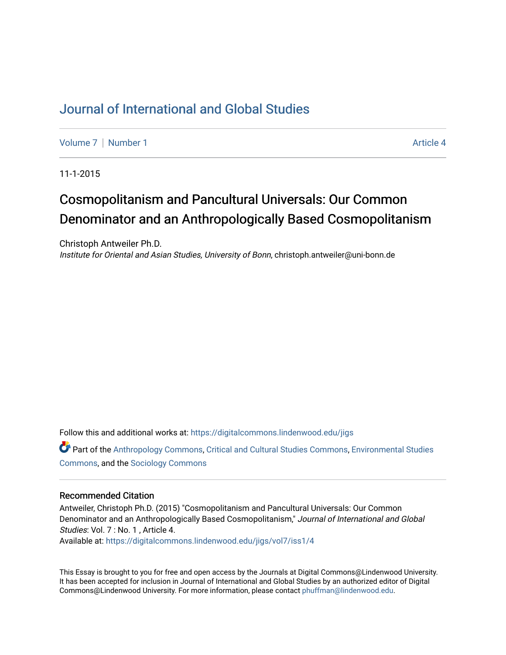# [Journal of International and Global Studies](https://digitalcommons.lindenwood.edu/jigs)

[Volume 7](https://digitalcommons.lindenwood.edu/jigs/vol7) | [Number 1](https://digitalcommons.lindenwood.edu/jigs/vol7/iss1) Article 4

11-1-2015

# Cosmopolitanism and Pancultural Universals: Our Common Denominator and an Anthropologically Based Cosmopolitanism

Christoph Antweiler Ph.D. Institute for Oriental and Asian Studies, University of Bonn, christoph.antweiler@uni-bonn.de

Follow this and additional works at: [https://digitalcommons.lindenwood.edu/jigs](https://digitalcommons.lindenwood.edu/jigs?utm_source=digitalcommons.lindenwood.edu%2Fjigs%2Fvol7%2Fiss1%2F4&utm_medium=PDF&utm_campaign=PDFCoverPages) 

Part of the [Anthropology Commons](http://network.bepress.com/hgg/discipline/318?utm_source=digitalcommons.lindenwood.edu%2Fjigs%2Fvol7%2Fiss1%2F4&utm_medium=PDF&utm_campaign=PDFCoverPages), [Critical and Cultural Studies Commons](http://network.bepress.com/hgg/discipline/328?utm_source=digitalcommons.lindenwood.edu%2Fjigs%2Fvol7%2Fiss1%2F4&utm_medium=PDF&utm_campaign=PDFCoverPages), [Environmental Studies](http://network.bepress.com/hgg/discipline/1333?utm_source=digitalcommons.lindenwood.edu%2Fjigs%2Fvol7%2Fiss1%2F4&utm_medium=PDF&utm_campaign=PDFCoverPages)  [Commons](http://network.bepress.com/hgg/discipline/1333?utm_source=digitalcommons.lindenwood.edu%2Fjigs%2Fvol7%2Fiss1%2F4&utm_medium=PDF&utm_campaign=PDFCoverPages), and the [Sociology Commons](http://network.bepress.com/hgg/discipline/416?utm_source=digitalcommons.lindenwood.edu%2Fjigs%2Fvol7%2Fiss1%2F4&utm_medium=PDF&utm_campaign=PDFCoverPages)

#### Recommended Citation

Antweiler, Christoph Ph.D. (2015) "Cosmopolitanism and Pancultural Universals: Our Common Denominator and an Anthropologically Based Cosmopolitanism," Journal of International and Global Studies: Vol. 7 : No. 1, Article 4.

Available at: [https://digitalcommons.lindenwood.edu/jigs/vol7/iss1/4](https://digitalcommons.lindenwood.edu/jigs/vol7/iss1/4?utm_source=digitalcommons.lindenwood.edu%2Fjigs%2Fvol7%2Fiss1%2F4&utm_medium=PDF&utm_campaign=PDFCoverPages)

This Essay is brought to you for free and open access by the Journals at Digital Commons@Lindenwood University. It has been accepted for inclusion in Journal of International and Global Studies by an authorized editor of Digital Commons@Lindenwood University. For more information, please contact [phuffman@lindenwood.edu](mailto:phuffman@lindenwood.edu).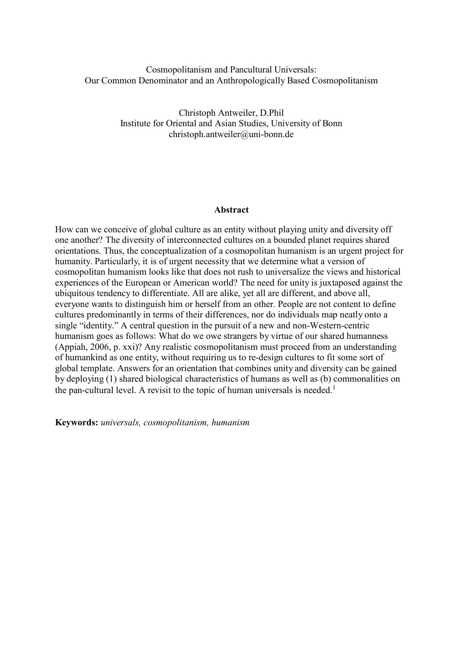# Cosmopolitanism and Pancultural Universals: Our Common Denominator and an Anthropologically Based Cosmopolitanism

Christoph Antweiler, D.Phil Institute for Oriental and Asian Studies, University of Bon[n](mailto:christoph.antweiler@uni-bonn.de) [christoph.antweiler@uni-bonn.de](mailto:christoph.antweiler@uni-bonn.de)

# **Abstract**

How can we conceive of global culture as an entity without playing unity and diversity off one another? The diversity of interconnected cultures on a bounded planet requires shared orientations. Thus, the conceptualization of a cosmopolitan humanism is an urgent project for humanity. Particularly, it is of urgent necessity that we determine what a version of cosmopolitan humanism looks like that does not rush to universalize the views and historical experiences of the European or American world? The need for unity is juxtaposed against the ubiquitous tendency to differentiate. All are alike, yet all are different, and above all, everyone wants to distinguish him or herself from an other. People are not content to define cultures predominantly in terms of their differences, nor do individuals map neatly onto a single "identity." A central question in the pursuit of a new and non-Western-centric humanism goes as follows: What do we owe strangers by virtue of our shared humanness (Appiah, 2006, p. xxi)? Any realistic cosmopolitanism must proceed from an understanding of humankind as one entity, without requiring us to re-design cultures to fit some sort of global template. Answers for an orientation that combines unity and diversity can be gained by deploying (1) shared biological characteristics of humans as well as (b) commonalities on the pan-cultural level. A revisit to the topic of human universals is needed.<sup>1</sup>

**Keywords:** *universals, cosmopolitanism, humanism*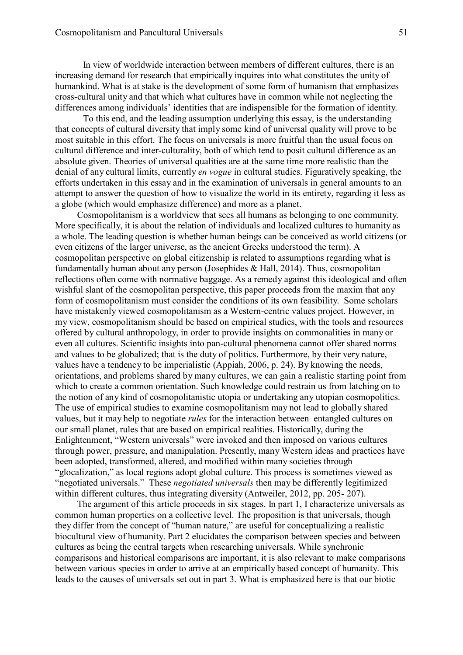In view of worldwide interaction between members of different cultures, there is an increasing demand for research that empirically inquires into what constitutes the unity of humankind. What is at stake is the development of some form of humanism that emphasizes cross-cultural unity and that which what cultures have in common while not neglecting the differences among individuals' identities that are indispensible for the formation of identity.

To this end, and the leading assumption underlying this essay, is the understanding that concepts of cultural diversity that imply some kind of universal quality will prove to be most suitable in this effort. The focus on universals is more fruitful than the usual focus on cultural difference and inter-culturality, both of which tend to posit cultural difference as an absolute given. Theories of universal qualities are at the same time more realistic than the denial of any cultural limits, currently *en vogue* in cultural studies. Figuratively speaking, the efforts undertaken in this essay and in the examination of universals in general amounts to an attempt to answer the question of how to visualize the world in its entirety, regarding it less as a globe (which would emphasize difference) and more as a planet.

Cosmopolitanism is a worldview that sees all humans as belonging to one community. More specifically, it is about the relation of individuals and localized cultures to humanity as a whole. The leading question is whether human beings can be conceived as world citizens (or even citizens of the larger universe, as the ancient Greeks understood the term). A cosmopolitan perspective on global citizenship is related to assumptions regarding what is fundamentally human about any person (Josephides  $& Hall, 2014$ ). Thus, cosmopolitan reflections often come with normative baggage. As a remedy against this ideological and often wishful slant of the cosmopolitan perspective, this paper proceeds from the maxim that any form of cosmopolitanism must consider the conditions of its own feasibility. Some scholars have mistakenly viewed cosmopolitanism as a Western-centric values project. However, in my view, cosmopolitanism should be based on empirical studies, with the tools and resources offered by cultural anthropology, in order to provide insights on commonalities in many or even all cultures. Scientific insights into pan-cultural phenomena cannot offer shared norms and values to be globalized; that is the duty of politics. Furthermore, by their very nature, values have a tendency to be imperialistic (Appiah, 2006, p. 24). By knowing the needs, orientations, and problems shared by many cultures, we can gain a realistic starting point from which to create a common orientation. Such knowledge could restrain us from latching on to the notion of any kind of cosmopolitanistic utopia or undertaking any utopian cosmopolitics. The use of empirical studies to examine cosmopolitanism may not lead to globally shared values, but it may help to negotiate *rules* for the interaction between entangled cultures on our small planet, rules that are based on empirical realities. Historically, during the Enlightenment, "Western universals" were invoked and then imposed on various cultures through power, pressure, and manipulation. Presently, many Western ideas and practices have been adopted, transformed, altered, and modified within many societies through "glocalization," as local regions adopt global culture. This process is sometimes viewed as "negotiated universals." These *negotiated universals* then may be differently legitimized within different cultures, thus integrating diversity (Antweiler, 2012, pp. 205- 207).

The argument of this article proceeds in six stages. In part 1, I characterize universals as common human properties on a collective level. The proposition is that universals, though they differ from the concept of "human nature," are useful for conceptualizing a realistic biocultural view of humanity. Part 2 elucidates the comparison between species and between cultures as being the central targets when researching universals. While synchronic comparisons and historical comparisons are important, it is also relevant to make comparisons between various species in order to arrive at an empirically based concept of humanity. This leads to the causes of universals set out in part 3. What is emphasized here is that our biotic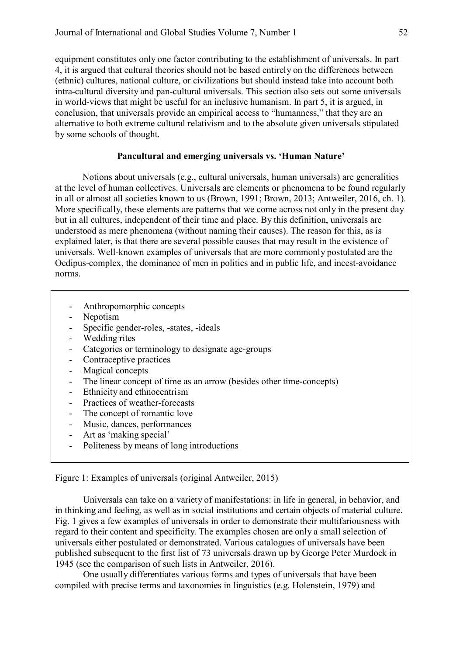equipment constitutes only one factor contributing to the establishment of universals. In part 4, it is argued that cultural theories should not be based entirely on the differences between (ethnic) cultures, national culture, or civilizations but should instead take into account both intra-cultural diversity and pan-cultural universals. This section also sets out some universals in world-views that might be useful for an inclusive humanism. In part 5, it is argued, in conclusion, that universals provide an empirical access to "humanness," that they are an alternative to both extreme cultural relativism and to the absolute given universals stipulated by some schools of thought.

# **Pancultural and emerging universals vs. 'Human Nature'**

Notions about universals (e.g., cultural universals, human universals) are generalities at the level of human collectives. Universals are elements or phenomena to be found regularly in all or almost all societies known to us (Brown, 1991; Brown, 2013; Antweiler, 2016, ch. 1). More specifically, these elements are patterns that we come across not only in the present day but in all cultures, independent of their time and place. By this definition, universals are understood as mere phenomena (without naming their causes). The reason for this, as is explained later, is that there are several possible causes that may result in the existence of universals. Well-known examples of universals that are more commonly postulated are the Oedipus-complex, the dominance of men in politics and in public life, and incest-avoidance norms.

- Anthropomorphic concepts
- Nepotism
- Specific gender-roles, -states, -ideals
- Wedding rites
- Categories or terminology to designate age-groups
- Contraceptive practices
- Magical concepts
- The linear concept of time as an arrow (besides other time-concepts)
- Ethnicity and ethnocentrism
- Practices of weather-forecasts
- The concept of romantic love
- Music, dances, performances
- Art as 'making special'
- Politeness by means of long introductions

Figure 1: Examples of universals (original Antweiler, 2015)

Universals can take on a variety of manifestations: in life in general, in behavior, and in thinking and feeling, as well as in social institutions and certain objects of material culture. Fig. 1 gives a few examples of universals in order to demonstrate their multifariousness with regard to their content and specificity. The examples chosen are only a small selection of universals either postulated or demonstrated. Various catalogues of universals have been published subsequent to the first list of 73 universals drawn up by George Peter Murdock in 1945 (see the comparison of such lists in Antweiler, 2016).

One usually differentiates various forms and types of universals that have been compiled with precise terms and taxonomies in linguistics (e.g. Holenstein, 1979) and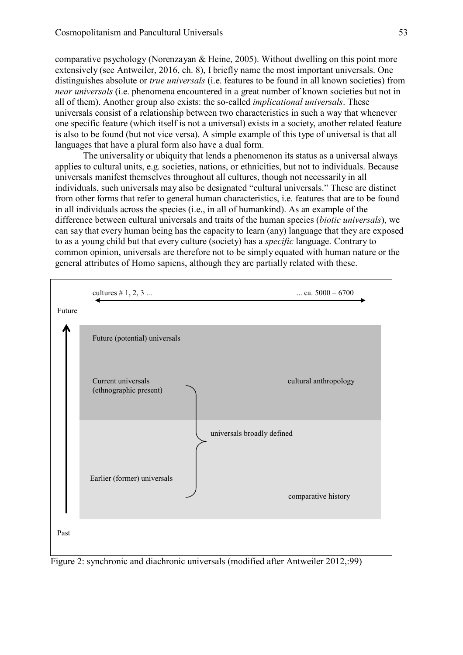comparative psychology (Norenzayan & Heine, 2005). Without dwelling on this point more extensively (see Antweiler, 2016, ch. 8), I briefly name the most important universals. One distinguishes absolute or *true universals* (i.e. features to be found in all known societies) from *near universals* (i.e. phenomena encountered in a great number of known societies but not in all of them). Another group also exists: the so-called *implicational universals*. These universals consist of a relationship between two characteristics in such a way that whenever one specific feature (which itself is not a universal) exists in a society, another related feature is also to be found (but not vice versa). A simple example of this type of universal is that all languages that have a plural form also have a dual form.

The universality or ubiquity that lends a phenomenon its status as a universal always applies to cultural units, e.g. societies, nations, or ethnicities, but not to individuals. Because universals manifest themselves throughout all cultures, though not necessarily in all individuals, such universals may also be designated "cultural universals." These are distinct from other forms that refer to general human characteristics, i.e. features that are to be found in all individuals across the species (i.e., in all of humankind). As an example of the difference between cultural universals and traits of the human species (*biotic universals*), we can say that every human being has the capacity to learn (any) language that they are exposed to as a young child but that every culture (society) has a *specific* language. Contrary to common opinion, universals are therefore not to be simply equated with human nature or the general attributes of Homo sapiens, although they are partially related with these.



Figure 2: synchronic and diachronic universals (modified after Antweiler 2012,:99)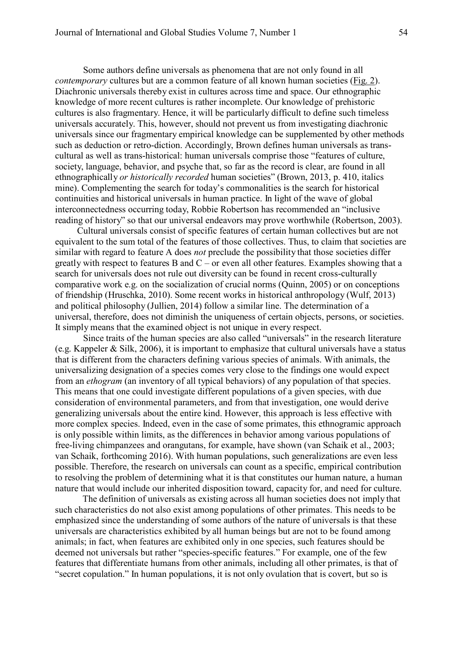Some authors define universals as phenomena that are not only found in all *contemporary* cultures but are a common feature of all known human societies (Fig. 2). Diachronic universals thereby exist in cultures across time and space. Our ethnographic knowledge of more recent cultures is rather incomplete. Our knowledge of prehistoric cultures is also fragmentary. Hence, it will be particularly difficult to define such timeless universals accurately. This, however, should not prevent us from investigating diachronic universals since our fragmentary empirical knowledge can be supplemented by other methods such as deduction or retro-diction. Accordingly, Brown defines human universals as transcultural as well as trans-historical: human universals comprise those "features of culture, society, language, behavior, and psyche that, so far as the record is clear, are found in all ethnographically *or historically recorded* human societies" (Brown, 2013, p. 410, italics mine). Complementing the search for today's commonalities is the search for historical continuities and historical universals in human practice. In light of the wave of global interconnectedness occurring today, Robbie Robertson has recommended an "inclusive reading of history" so that our universal endeavors may prove worthwhile (Robertson, 2003).

Cultural universals consist of specific features of certain human collectives but are not equivalent to the sum total of the features of those collectives. Thus, to claim that societies are similar with regard to feature A does *not* preclude the possibility that those societies differ greatly with respect to features B and  $C$  – or even all other features. Examples showing that a search for universals does not rule out diversity can be found in recent cross-culturally comparative work e.g. on the socialization of crucial norms (Quinn, 2005) or on conceptions of friendship (Hruschka, 2010). Some recent works in historical anthropology (Wulf, 2013) and political philosophy (Jullien, 2014) follow a similar line. The determination of a universal, therefore, does not diminish the uniqueness of certain objects, persons, or societies. It simply means that the examined object is not unique in every respect.

Since traits of the human species are also called "universals" in the research literature (e.g. Kappeler & Silk, 2006), it is important to emphasize that cultural universals have a status that is different from the characters defining various species of animals. With animals, the universalizing designation of a species comes very close to the findings one would expect from an *ethogram* (an inventory of all typical behaviors) of any population of that species. This means that one could investigate different populations of a given species, with due consideration of environmental parameters, and from that investigation, one would derive generalizing universals about the entire kind. However, this approach is less effective with more complex species. Indeed, even in the case of some primates, this ethnogramic approach is only possible within limits, as the differences in behavior among various populations of free-living chimpanzees and orangutans, for example, have shown (van Schaik et al., 2003; van Schaik, forthcoming 2016). With human populations, such generalizations are even less possible. Therefore, the research on universals can count as a specific, empirical contribution to resolving the problem of determining what it is that constitutes our human nature, a human nature that would include our inherited disposition toward, capacity for, and need for culture.

The definition of universals as existing across all human societies does not imply that such characteristics do not also exist among populations of other primates. This needs to be emphasized since the understanding of some authors of the nature of universals is that these universals are characteristics exhibited by all human beings but are not to be found among animals; in fact, when features are exhibited only in one species, such features should be deemed not universals but rather "species-specific features." For example, one of the few features that differentiate humans from other animals, including all other primates, is that of "secret copulation." In human populations, it is not only ovulation that is covert, but so is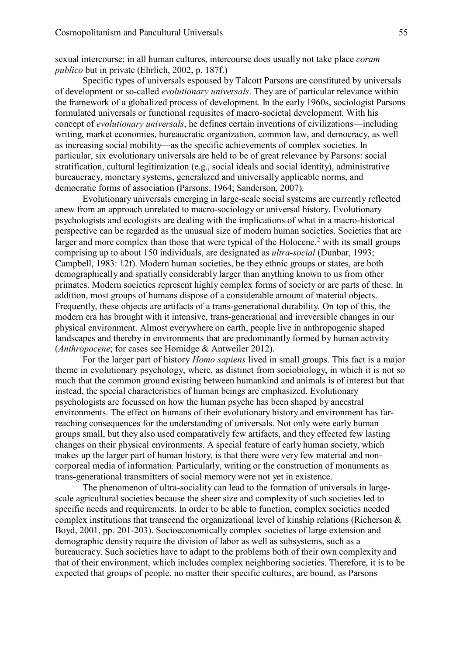sexual intercourse; in all human cultures, intercourse does usually not take place *coram publico* but in private (Ehrlich, 2002, p. 187f.)

Specific types of universals espoused by Talcott Parsons are constituted by universals of development or so-called *evolutionary universals*. They are of particular relevance within the framework of a globalized process of development. In the early 1960s, sociologist Parsons formulated universals or functional requisites of macro-societal development. With his concept of *evolutionary universals*, he defines certain inventions of civilizations—including writing, market economies, bureaucratic organization, common law, and democracy, as well as increasing social mobility—as the specific achievements of complex societies. In particular, six evolutionary universals are held to be of great relevance by Parsons: social stratification, cultural legitimization (e.g., social ideals and social identity), administrative bureaucracy, monetary systems, generalized and universally applicable norms, and democratic forms of association (Parsons, 1964; Sanderson, 2007).

Evolutionary universals emerging in large-scale social systems are currently reflected anew from an approach unrelated to macro-sociology or universal history. Evolutionary psychologists and ecologists are dealing with the implications of what in a macro-historical perspective can be regarded as the unusual size of modern human societies. Societies that are larger and more complex than those that were typical of the Holocene, $<sup>2</sup>$  with its small groups</sup> comprising up to about 150 individuals, are designated as *ultra-social* (Dunbar, 1993; Campbell, 1983: 12f). Modern human societies, be they ethnic groups or states, are both demographically and spatially considerably larger than anything known to us from other primates. Modern societies represent highly complex forms of society or are parts of these. In addition, most groups of humans dispose of a considerable amount of material objects. Frequently, these objects are artifacts of a trans-generational durability. On top of this, the modern era has brought with it intensive, trans-generational and irreversible changes in our physical environment. Almost everywhere on earth, people live in anthropogenic shaped landscapes and thereby in environments that are predominantly formed by human activity (*Anthropocene*; for cases see Hornidge & Antweiler 2012).

For the larger part of history *Homo sapiens* lived in small groups. This fact is a major theme in evolutionary psychology, where, as distinct from sociobiology, in which it is not so much that the common ground existing between humankind and animals is of interest but that instead, the special characteristics of human beings are emphasized. Evolutionary psychologists are focussed on how the human psyche has been shaped by ancestral environments. The effect on humans of their evolutionary history and environment has farreaching consequences for the understanding of universals. Not only were early human groups small, but they also used comparatively few artifacts, and they effected few lasting changes on their physical environments. A special feature of early human society, which makes up the larger part of human history, is that there were very few material and noncorporeal media of information. Particularly, writing or the construction of monuments as trans-generational transmitters of social memory were not yet in existence.

The phenomenon of ultra-sociality can lead to the formation of universals in largescale agricultural societies because the sheer size and complexity of such societies led to specific needs and requirements. In order to be able to function, complex societies needed complex institutions that transcend the organizational level of kinship relations (Richerson  $\&$ Boyd, 2001, pp. 201-203). Socioeconomically complex societies of large extension and demographic density require the division of labor as well as subsystems, such as a bureaucracy. Such societies have to adapt to the problems both of their own complexity and that of their environment, which includes complex neighboring societies. Therefore, it is to be expected that groups of people, no matter their specific cultures, are bound, as Parsons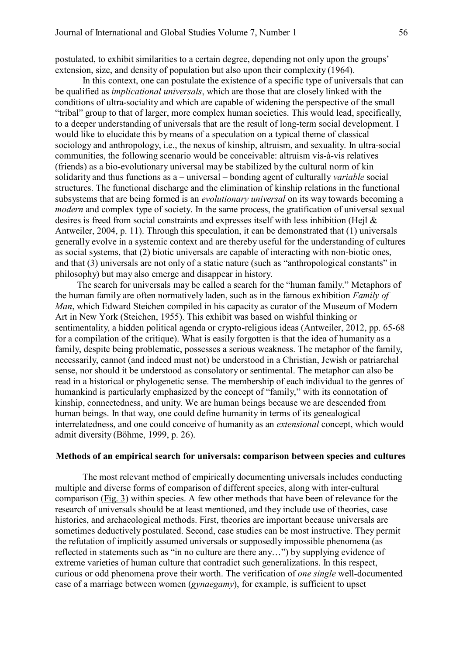postulated, to exhibit similarities to a certain degree, depending not only upon the groups' extension, size, and density of population but also upon their complexity (1964).

In this context, one can postulate the existence of a specific type of universals that can be qualified as *implicational universals*, which are those that are closely linked with the conditions of ultra-sociality and which are capable of widening the perspective of the small "tribal" group to that of larger, more complex human societies. This would lead, specifically, to a deeper understanding of universals that are the result of long-term social development. I would like to elucidate this by means of a speculation on a typical theme of classical sociology and anthropology, i.e., the nexus of kinship, altruism, and sexuality. In ultra-social communities, the following scenario would be conceivable: altruism vis-à-vis relatives (friends) as a bio-evolutionary universal may be stabilized by the cultural norm of kin solidarity and thus functions as a – universal – bonding agent of culturally *variable* social structures. The functional discharge and the elimination of kinship relations in the functional subsystems that are being formed is an *evolutionary universal* on its way towards becoming a *modern* and complex type of society. In the same process, the gratification of universal sexual desires is freed from social constraints and expresses itself with less inhibition (Hejl & Antweiler, 2004, p. 11). Through this speculation, it can be demonstrated that (1) universals generally evolve in a systemic context and are thereby useful for the understanding of cultures as social systems, that (2) biotic universals are capable of interacting with non-biotic ones, and that (3) universals are not only of a static nature (such as "anthropological constants" in philosophy) but may also emerge and disappear in history.

The search for universals may be called a search for the "human family." Metaphors of the human family are often normatively laden, such as in the famous exhibition *Family of Man*, which Edward Steichen compiled in his capacity as curator of the Museum of Modern Art in New York (Steichen, 1955). This exhibit was based on wishful thinking or sentimentality, a hidden political agenda or crypto-religious ideas (Antweiler, 2012, pp. 65-68 for a compilation of the critique). What is easily forgotten is that the idea of humanity as a family, despite being problematic, possesses a serious weakness. The metaphor of the family, necessarily, cannot (and indeed must not) be understood in a Christian, Jewish or patriarchal sense, nor should it be understood as consolatory or sentimental. The metaphor can also be read in a historical or phylogenetic sense. The membership of each individual to the genres of humankind is particularly emphasized by the concept of "family," with its connotation of kinship, connectedness, and unity. We are human beings because we are descended from human beings. In that way, one could define humanity in terms of its genealogical interrelatedness, and one could conceive of humanity as an *extensional* concept, which would admit diversity (Böhme, 1999, p. 26).

#### **Methods of an empirical search for universals: comparison between species and cultures**

The most relevant method of empirically documenting universals includes conducting multiple and diverse forms of comparison of different species, along with inter-cultural comparison (Fig. 3) within species. A few other methods that have been of relevance for the research of universals should be at least mentioned, and they include use of theories, case histories, and archaeological methods. First, theories are important because universals are sometimes deductively postulated. Second, case studies can be most instructive. They permit the refutation of implicitly assumed universals or supposedly impossible phenomena (as reflected in statements such as "in no culture are there any…") by supplying evidence of extreme varieties of human culture that contradict such generalizations. In this respect, curious or odd phenomena prove their worth. The verification of *one single* well-documented case of a marriage between women (*gynaegamy*), for example, is sufficient to upset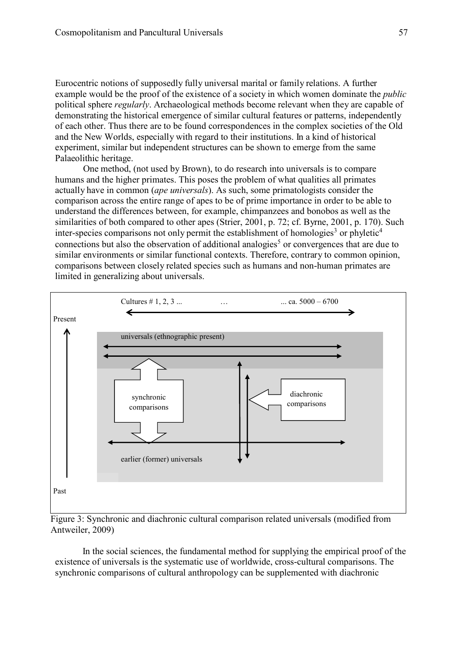Eurocentric notions of supposedly fully universal marital or family relations. A further example would be the proof of the existence of a society in which women dominate the *public*  political sphere *regularly*. Archaeological methods become relevant when they are capable of demonstrating the historical emergence of similar cultural features or patterns, independently of each other. Thus there are to be found correspondences in the complex societies of the Old and the New Worlds, especially with regard to their institutions. In a kind of historical experiment, similar but independent structures can be shown to emerge from the same Palaeolithic heritage.

One method, (not used by Brown), to do research into universals is to compare humans and the higher primates. This poses the problem of what qualities all primates actually have in common (*ape universals*). As such, some primatologists consider the comparison across the entire range of apes to be of prime importance in order to be able to understand the differences between, for example, chimpanzees and bonobos as well as the similarities of both compared to other apes (Strier, 2001, p. 72; cf. Byrne, 2001, p. 170). Such inter-species comparisons not only permit the establishment of homologies<sup>3</sup> or phyletic<sup>4</sup> connections but also the observation of additional analogies<sup>5</sup> or convergences that are due to similar environments or similar functional contexts. Therefore, contrary to common opinion, comparisons between closely related species such as humans and non-human primates are limited in generalizing about universals.



Figure 3: Synchronic and diachronic cultural comparison related universals (modified from Antweiler, 2009)

In the social sciences, the fundamental method for supplying the empirical proof of the existence of universals is the systematic use of worldwide, cross-cultural comparisons. The synchronic comparisons of cultural anthropology can be supplemented with diachronic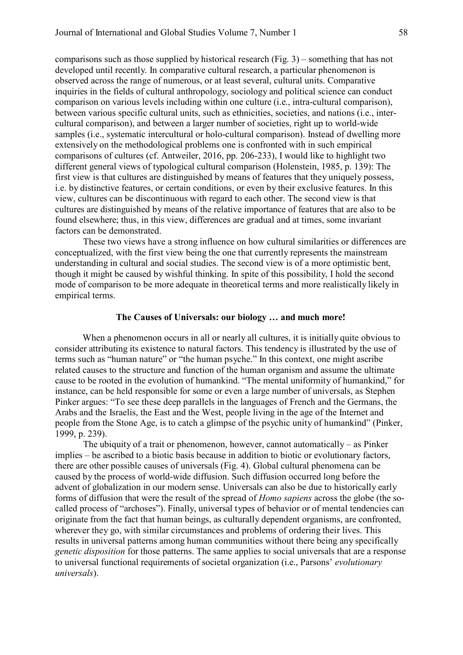comparisons such as those supplied by historical research (Fig. 3) – something that has not developed until recently. In comparative cultural research, a particular phenomenon is observed across the range of numerous, or at least several, cultural units. Comparative inquiries in the fields of cultural anthropology, sociology and political science can conduct comparison on various levels including within one culture (i.e., intra-cultural comparison), between various specific cultural units, such as ethnicities, societies, and nations (i.e., intercultural comparison), and between a larger number of societies, right up to world-wide samples (i.e., systematic intercultural or holo-cultural comparison). Instead of dwelling more extensively on the methodological problems one is confronted with in such empirical comparisons of cultures (cf. Antweiler, 2016, pp. 206-233), I would like to highlight two different general views of typological cultural comparison (Holenstein, 1985, p. 139): The first view is that cultures are distinguished by means of features that they uniquely possess, i.e. by distinctive features, or certain conditions, or even by their exclusive features. In this view, cultures can be discontinuous with regard to each other. The second view is that cultures are distinguished by means of the relative importance of features that are also to be found elsewhere; thus, in this view, differences are gradual and at times, some invariant factors can be demonstrated.

These two views have a strong influence on how cultural similarities or differences are conceptualized, with the first view being the one that currently represents the mainstream understanding in cultural and social studies. The second view is of a more optimistic bent, though it might be caused by wishful thinking. In spite of this possibility, I hold the second mode of comparison to be more adequate in theoretical terms and more realistically likely in empirical terms.

# **The Causes of Universals: our biology … and much more!**

When a phenomenon occurs in all or nearly all cultures, it is initially quite obvious to consider attributing its existence to natural factors. This tendency is illustrated by the use of terms such as "human nature" or "the human psyche." In this context, one might ascribe related causes to the structure and function of the human organism and assume the ultimate cause to be rooted in the evolution of humankind. "The mental uniformity of humankind," for instance, can be held responsible for some or even a large number of universals, as Stephen Pinker argues: "To see these deep parallels in the languages of French and the Germans, the Arabs and the Israelis, the East and the West, people living in the age of the Internet and people from the Stone Age, is to catch a glimpse of the psychic unity of humankind" (Pinker, 1999, p. 239).

The ubiquity of a trait or phenomenon, however, cannot automatically – as Pinker implies – be ascribed to a biotic basis because in addition to biotic or evolutionary factors, there are other possible causes of universals (Fig. 4). Global cultural phenomena can be caused by the process of world-wide diffusion. Such diffusion occurred long before the advent of globalization in our modern sense. Universals can also be due to historically early forms of diffusion that were the result of the spread of *Homo sapiens* across the globe (the socalled process of "archoses"). Finally, universal types of behavior or of mental tendencies can originate from the fact that human beings, as culturally dependent organisms, are confronted, wherever they go, with similar circumstances and problems of ordering their lives. This results in universal patterns among human communities without there being any specifically *genetic disposition* for those patterns. The same applies to social universals that are a response to universal functional requirements of societal organization (i.e., Parsons' *evolutionary universals*).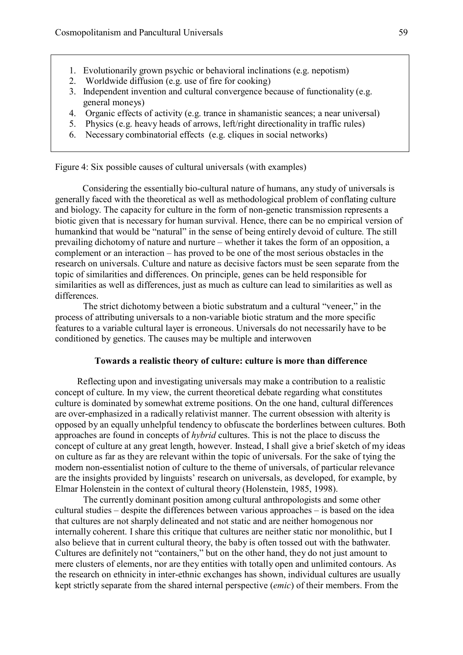- 1. Evolutionarily grown psychic or behavioral inclinations (e.g. nepotism)
- 2. Worldwide diffusion (e.g. use of fire for cooking)
- 3. Independent invention and cultural convergence because of functionality (e.g. general moneys)
- 4. Organic effects of activity (e.g. trance in shamanistic seances; a near universal)
- 5. Physics (e.g. heavy heads of arrows, left/right directionality in traffic rules)
- 6. Necessary combinatorial effects (e.g. cliques in social networks)

Figure 4: Six possible causes of cultural universals (with examples)

Considering the essentially bio-cultural nature of humans, any study of universals is generally faced with the theoretical as well as methodological problem of conflating culture and biology. The capacity for culture in the form of non-genetic transmission represents a biotic given that is necessary for human survival. Hence, there can be no empirical version of humankind that would be "natural" in the sense of being entirely devoid of culture. The still prevailing dichotomy of nature and nurture – whether it takes the form of an opposition, a complement or an interaction – has proved to be one of the most serious obstacles in the research on universals. Culture and nature as decisive factors must be seen separate from the topic of similarities and differences. On principle, genes can be held responsible for similarities as well as differences, just as much as culture can lead to similarities as well as differences.

The strict dichotomy between a biotic substratum and a cultural "veneer," in the process of attributing universals to a non-variable biotic stratum and the more specific features to a variable cultural layer is erroneous. Universals do not necessarily have to be conditioned by genetics. The causes may be multiple and interwoven

# **Towards a realistic theory of culture: culture is more than difference**

Reflecting upon and investigating universals may make a contribution to a realistic concept of culture. In my view, the current theoretical debate regarding what constitutes culture is dominated by somewhat extreme positions. On the one hand, cultural differences are over-emphasized in a radically relativist manner. The current obsession with alterity is opposed by an equally unhelpful tendency to obfuscate the borderlines between cultures. Both approaches are found in concepts of *hybrid* cultures. This is not the place to discuss the concept of culture at any great length, however. Instead, I shall give a brief sketch of my ideas on culture as far as they are relevant within the topic of universals. For the sake of tying the modern non-essentialist notion of culture to the theme of universals, of particular relevance are the insights provided by linguists' research on universals, as developed, for example, by Elmar Holenstein in the context of cultural theory (Holenstein, 1985, 1998).

The currently dominant position among cultural anthropologists and some other cultural studies – despite the differences between various approaches – is based on the idea that cultures are not sharply delineated and not static and are neither homogenous nor internally coherent. I share this critique that cultures are neither static nor monolithic, but I also believe that in current cultural theory, the baby is often tossed out with the bathwater. Cultures are definitely not "containers," but on the other hand, they do not just amount to mere clusters of elements, nor are they entities with totally open and unlimited contours. As the research on ethnicity in inter-ethnic exchanges has shown, individual cultures are usually kept strictly separate from the shared internal perspective (*emic*) of their members. From the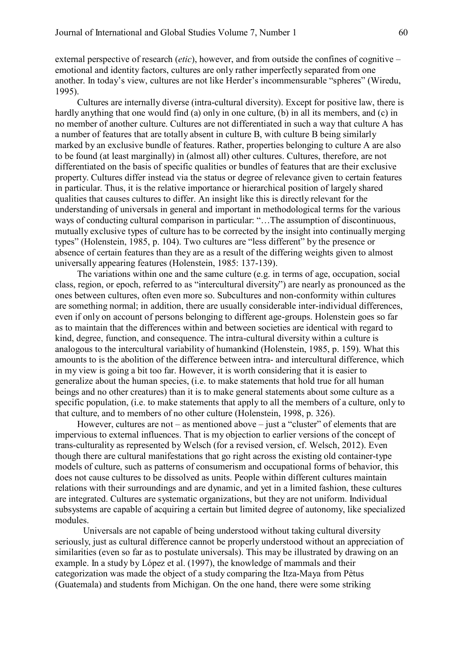external perspective of research (*etic*), however, and from outside the confines of cognitive – emotional and identity factors, cultures are only rather imperfectly separated from one another. In today's view, cultures are not like Herder's incommensurable "spheres" (Wiredu, 1995).

Cultures are internally diverse (intra-cultural diversity). Except for positive law, there is hardly anything that one would find (a) only in one culture, (b) in all its members, and (c) in no member of another culture. Cultures are not differentiated in such a way that culture A has a number of features that are totally absent in culture B, with culture B being similarly marked by an exclusive bundle of features. Rather, properties belonging to culture A are also to be found (at least marginally) in (almost all) other cultures. Cultures, therefore, are not differentiated on the basis of specific qualities or bundles of features that are their exclusive property. Cultures differ instead via the status or degree of relevance given to certain features in particular. Thus, it is the relative importance or hierarchical position of largely shared qualities that causes cultures to differ. An insight like this is directly relevant for the understanding of universals in general and important in methodological terms for the various ways of conducting cultural comparison in particular: "...The assumption of discontinuous, mutually exclusive types of culture has to be corrected by the insight into continually merging types" (Holenstein, 1985, p. 104). Two cultures are "less different" by the presence or absence of certain features than they are as a result of the differing weights given to almost universally appearing features (Holenstein, 1985: 137-139).

The variations within one and the same culture (e.g. in terms of age, occupation, social class, region, or epoch, referred to as "intercultural diversity") are nearly as pronounced as the ones between cultures, often even more so. Subcultures and non-conformity within cultures are something normal; in addition, there are usually considerable inter-individual differences, even if only on account of persons belonging to different age-groups. Holenstein goes so far as to maintain that the differences within and between societies are identical with regard to kind, degree, function, and consequence. The intra-cultural diversity within a culture is analogous to the intercultural variability of humankind (Holenstein, 1985, p. 159). What this amounts to is the abolition of the difference between intra- and intercultural difference, which in my view is going a bit too far. However, it is worth considering that it is easier to generalize about the human species, (i.e. to make statements that hold true for all human beings and no other creatures) than it is to make general statements about some culture as a specific population, (i.e. to make statements that apply to all the members of a culture, only to that culture, and to members of no other culture (Holenstein, 1998, p. 326).

However, cultures are not – as mentioned above – just a "cluster" of elements that are impervious to external influences. That is my objection to earlier versions of the concept of trans-culturality as represented by Welsch (for a revised version, cf. Welsch, 2012). Even though there are cultural manifestations that go right across the existing old container-type models of culture, such as patterns of consumerism and occupational forms of behavior, this does not cause cultures to be dissolved as units. People within different cultures maintain relations with their surroundings and are dynamic, and yet in a limited fashion, these cultures are integrated. Cultures are systematic organizations, but they are not uniform. Individual subsystems are capable of acquiring a certain but limited degree of autonomy, like specialized modules.

Universals are not capable of being understood without taking cultural diversity seriously, just as cultural difference cannot be properly understood without an appreciation of similarities (even so far as to postulate universals). This may be illustrated by drawing on an example. In a study by López et al. (1997), the knowledge of mammals and their categorization was made the object of a study comparing the Itza-Maya from Pètus (Guatemala) and students from Michigan. On the one hand, there were some striking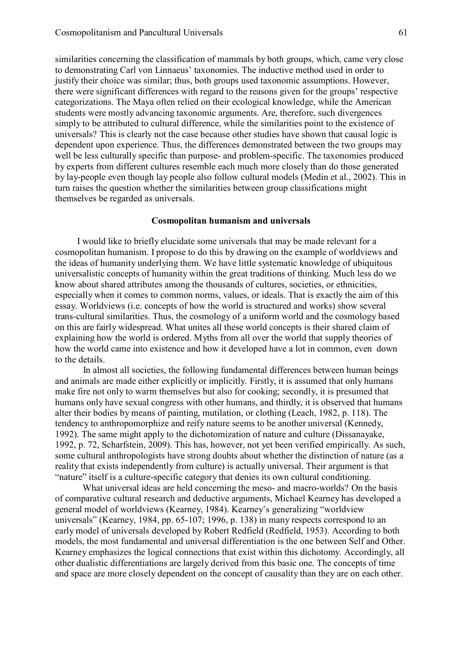similarities concerning the classification of mammals by both groups, which, came very close to demonstrating Carl von Linnaeus' taxonomies. The inductive method used in order to justify their choice was similar; thus, both groups used taxonomic assumptions. However, there were significant differences with regard to the reasons given for the groups' respective categorizations. The Maya often relied on their ecological knowledge, while the American students were mostly advancing taxonomic arguments. Are, therefore, such divergences simply to be attributed to cultural difference, while the similarities point to the existence of universals? This is clearly not the case because other studies have shown that causal logic is dependent upon experience. Thus, the differences demonstrated between the two groups may well be less culturally specific than purpose- and problem-specific. The taxonomies produced by experts from different cultures resemble each much more closely than do those generated by lay-people even though lay people also follow cultural models (Medin et al., 2002). This in turn raises the question whether the similarities between group classifications might themselves be regarded as universals.

#### **Cosmopolitan humanism and universals**

I would like to briefly elucidate some universals that may be made relevant for a cosmopolitan humanism. I propose to do this by drawing on the example of worldviews and the ideas of humanity underlying them. We have little systematic knowledge of ubiquitous universalistic concepts of humanity within the great traditions of thinking. Much less do we know about shared attributes among the thousands of cultures, societies, or ethnicities, especially when it comes to common norms, values, or ideals. That is exactly the aim of this essay. Worldviews (i.e. concepts of how the world is structured and works) show several trans-cultural similarities. Thus, the cosmology of a uniform world and the cosmology based on this are fairly widespread. What unites all these world concepts is their shared claim of explaining how the world is ordered. Myths from all over the world that supply theories of how the world came into existence and how it developed have a lot in common, even down to the details.

In almost all societies, the following fundamental differences between human beings and animals are made either explicitly or implicitly. Firstly, it is assumed that only humans make fire not only to warm themselves but also for cooking; secondly, it is presumed that humans only have sexual congress with other humans, and thirdly, it is observed that humans alter their bodies by means of painting, mutilation, or clothing (Leach, 1982, p. 118). The tendency to anthropomorphize and reify nature seems to be another universal (Kennedy, 1992). The same might apply to the dichotomization of nature and culture (Dissanayake, 1992, p. 72, Scharfstein, 2009). This has, however, not yet been verified empirically. As such, some cultural anthropologists have strong doubts about whether the distinction of nature (as a reality that exists independently from culture) is actually universal. Their argument is that "nature" itself is a culture-specific category that denies its own cultural conditioning.

What universal ideas are held concerning the meso- and macro-worlds? On the basis of comparative cultural research and deductive arguments, Michael Kearney has developed a general model of worldviews (Kearney, 1984). Kearney's generalizing "worldview universals" (Kearney, 1984, pp. 65-107; 1996, p. 138) in many respects correspond to an early model of universals developed by Robert Redfield (Redfield, 1953). According to both models, the most fundamental and universal differentiation is the one between Self and Other. Kearney emphasizes the logical connections that exist within this dichotomy. Accordingly, all other dualistic differentiations are largely derived from this basic one. The concepts of time and space are more closely dependent on the concept of causality than they are on each other.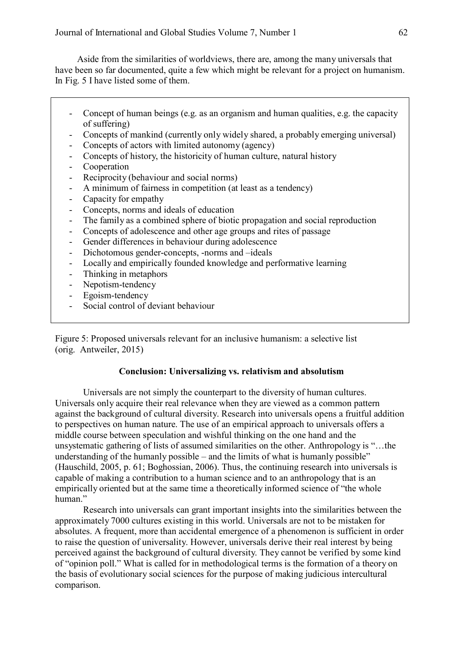Aside from the similarities of worldviews, there are, among the many universals that have been so far documented, quite a few which might be relevant for a project on humanism. In Fig. 5 I have listed some of them.

- Concept of human beings (e.g. as an organism and human qualities, e.g. the capacity of suffering)
- Concepts of mankind (currently only widely shared, a probably emerging universal)
- Concepts of actors with limited autonomy (agency)
- Concepts of history, the historicity of human culture, natural history
- Cooperation
- Reciprocity (behaviour and social norms)
- A minimum of fairness in competition (at least as a tendency)
- Capacity for empathy
- Concepts, norms and ideals of education
- The family as a combined sphere of biotic propagation and social reproduction
- Concepts of adolescence and other age groups and rites of passage
- Gender differences in behaviour during adolescence
- Dichotomous gender-concepts, -norms and –ideals
- Locally and empirically founded knowledge and performative learning
- Thinking in metaphors
- Nepotism-tendency
- Egoism-tendency
- Social control of deviant behaviour

Figure 5: Proposed universals relevant for an inclusive humanism: a selective list (orig. Antweiler, 2015)

# **Conclusion: Universalizing vs. relativism and absolutism**

Universals are not simply the counterpart to the diversity of human cultures. Universals only acquire their real relevance when they are viewed as a common pattern against the background of cultural diversity. Research into universals opens a fruitful addition to perspectives on human nature. The use of an empirical approach to universals offers a middle course between speculation and wishful thinking on the one hand and the unsystematic gathering of lists of assumed similarities on the other. Anthropology is "…the understanding of the humanly possible – and the limits of what is humanly possible" (Hauschild, 2005, p. 61; Boghossian, 2006). Thus, the continuing research into universals is capable of making a contribution to a human science and to an anthropology that is an empirically oriented but at the same time a theoretically informed science of "the whole human."

Research into universals can grant important insights into the similarities between the approximately 7000 cultures existing in this world. Universals are not to be mistaken for absolutes. A frequent, more than accidental emergence of a phenomenon is sufficient in order to raise the question of universality. However, universals derive their real interest by being perceived against the background of cultural diversity. They cannot be verified by some kind of "opinion poll." What is called for in methodological terms is the formation of a theory on the basis of evolutionary social sciences for the purpose of making judicious intercultural comparison.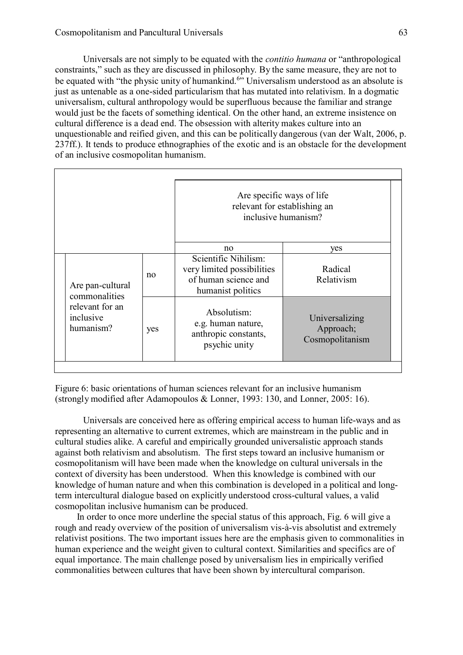Universals are not simply to be equated with the *contitio humana* or "anthropological constraints," such as they are discussed in philosophy. By the same measure, they are not to be equated with "the physic unity of humankind.<sup>6</sup>" Universalism understood as an absolute is just as untenable as a one-sided particularism that has mutated into relativism. In a dogmatic universalism, cultural anthropology would be superfluous because the familiar and strange would just be the facets of something identical. On the other hand, an extreme insistence on cultural difference is a dead end. The obsession with alterity makes culture into an unquestionable and reified given, and this can be politically dangerous (van der Walt, 2006, p. 237ff.). It tends to produce ethnographies of the exotic and is an obstacle for the development of an inclusive cosmopolitan humanism.

|                                                                                |     | Are specific ways of life<br>relevant for establishing an<br>inclusive humanism?                |                                                |
|--------------------------------------------------------------------------------|-----|-------------------------------------------------------------------------------------------------|------------------------------------------------|
|                                                                                |     | no                                                                                              | yes                                            |
| Are pan-cultural<br>commonalities<br>relevant for an<br>inclusive<br>humanism? | no  | Scientific Nihilism:<br>very limited possibilities<br>of human science and<br>humanist politics | Radical<br>Relativism                          |
|                                                                                | yes | Absolutism:<br>e.g. human nature,<br>anthropic constants,<br>psychic unity                      | Universalizing<br>Approach;<br>Cosmopolitanism |

Figure 6: basic orientations of human sciences relevant for an inclusive humanism (strongly modified after Adamopoulos & Lonner, 1993: 130, and Lonner, 2005: 16).

Universals are conceived here as offering empirical access to human life-ways and as representing an alternative to current extremes, which are mainstream in the public and in cultural studies alike. A careful and empirically grounded universalistic approach stands against both relativism and absolutism. The first steps toward an inclusive humanism or cosmopolitanism will have been made when the knowledge on cultural universals in the context of diversity has been understood. When this knowledge is combined with our knowledge of human nature and when this combination is developed in a political and longterm intercultural dialogue based on explicitly understood cross-cultural values, a valid cosmopolitan inclusive humanism can be produced.

In order to once more underline the special status of this approach, Fig. 6 will give a rough and ready overview of the position of universalism vis-à-vis absolutist and extremely relativist positions. The two important issues here are the emphasis given to commonalities in human experience and the weight given to cultural context. Similarities and specifics are of equal importance. The main challenge posed by universalism lies in empirically verified commonalities between cultures that have been shown by intercultural comparison.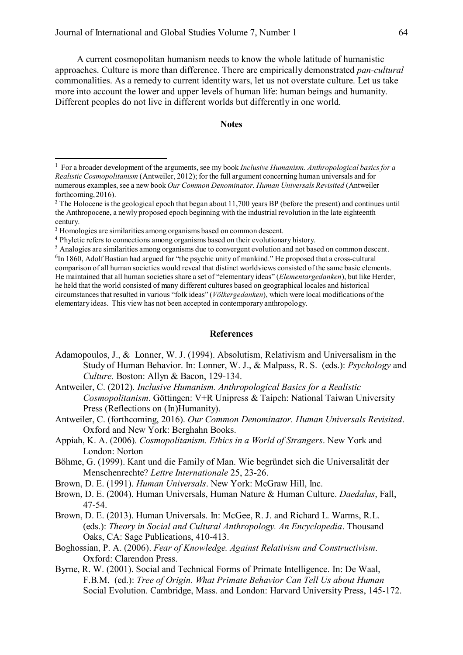A current cosmopolitan humanism needs to know the whole latitude of humanistic approaches. Culture is more than difference. There are empirically demonstrated *pan-cultural*  commonalities. As a remedy to current identity wars, let us not overstate culture. Let us take more into account the lower and upper levels of human life: human beings and humanity. Different peoples do not live in different worlds but differently in one world.

#### **Notes**

## **References**

- Adamopoulos, J., & Lonner, W. J. (1994). Absolutism, Relativism and Universalism in the Study of Human Behavior. In: Lonner, W. J., & Malpass, R. S. (eds.): *Psychology* and *Culture.* Boston: Allyn & Bacon, 129-134.
- Antweiler, C. (2012). *Inclusive Humanism. Anthropological Basics for a Realistic Cosmopolitanism*. Göttingen: V+R Unipress & Taipeh: National Taiwan University Press (Reflections on (In)Humanity).
- Antweiler, C. (forthcoming, 2016). *Our Common Denominator. Human Universals Revisited*. Oxford and New York: Berghahn Books.
- Appiah, K. A. (2006). *Cosmopolitanism. Ethics in a World of Strangers*. New York and London: Norton
- Böhme, G. (1999). Kant und die Family of Man. Wie begründet sich die Universalität der Menschenrechte? *Lettre Internationale* 25, 23-26.
- Brown, D. E. (1991). *Human Universals*. New York: McGraw Hill, Inc.
- Brown, D. E. (2004). Human Universals, Human Nature & Human Culture. *Daedalus*, Fall, 47-54.
- Brown, D. E. (2013). Human Universals. In: McGee, R. J. and Richard L. Warms, R.L. (eds.): *[Theory in Social and Cultural Anthropology. An Encyclopedia](http://www.sagepub.com/books/Book235988?subject=200&amp%3Bfs=1)*. Thousand Oaks, CA: Sage Publications, 410-413.
- Boghossian, P. A. (2006). *Fear of Knowledge. Against Relativism and Constructivism*. Oxford: Clarendon Press.
- Byrne, R. W. (2001). Social and Technical Forms of Primate Intelligence. In: De Waal, F.B.M. (ed.): *Tree of Origin. What Primate Behavior Can Tell Us about Human* Social Evolution. Cambridge, Mass. and London: Harvard University Press, 145-172.

<sup>&</sup>lt;sup>1</sup> For a broader development of the arguments, see my book *Inclusive Humanism. Anthropological basics for a Realistic Cosmopolitanism* (Antweiler, 2012); for the full argument concerning human universals and for numerous examples, see a new book Our Common Denominator. Human Universals Revisited (Antweiler forthcoming, 2016).

<sup>&</sup>lt;sup>2</sup> The Holocene is the geological epoch that began about 11,700 years BP (before the present) and continues until the Anthropocene, a newly proposed epoch beginning with the industrial revolution in the late eighteenth century.

<sup>&</sup>lt;sup>3</sup> Homologies are similarities among organisms based on common descent.

<sup>4</sup> Phyletic refers to connections among organisms based on their evolutionary history.

<sup>5</sup> Analogies are similarities among organisms due to convergent evolution and not based on common descent.

<sup>&</sup>lt;sup>6</sup>In 1860, Adolf Bastian had argued for "the psychic unity of mankind." He proposed that a cross-cultural comparison of all human societies would reveal that distinct worldviews consisted of the same basic elements. He maintained that all human societies share a set of "elementary ideas" (*Elementargedanken*), but like Herder, he held that the world consisted of many different cultures based on geographical locales and historical circumstances that resulted in various "folk ideas" (*Völkergedanken*), which were local modifications of the elementary ideas. This view has not been accepted in contemporary anthropology.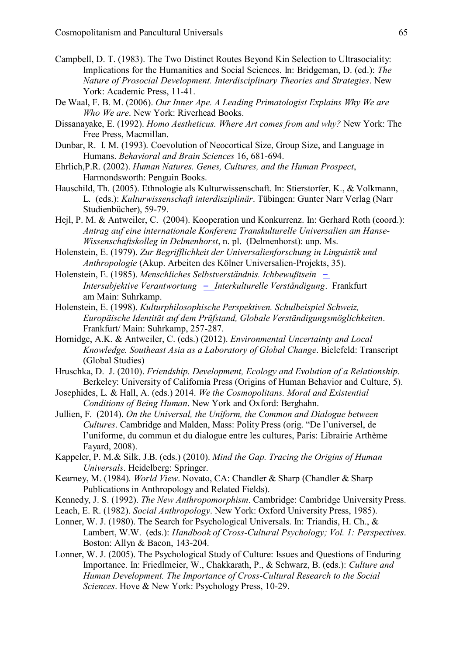- Campbell, D. T. (1983). The Two Distinct Routes Beyond Kin Selection to Ultrasociality: Implications for the Humanities and Social Sciences. In: Bridgeman, D. (ed.): *The Nature of Prosocial Development. Interdisciplinary Theories and Strategies*. New York: Academic Press, 11-41.
- De Waal, F. B. M. (2006). *Our Inner Ape. A Leading Primatologist Explains Why We are Who We are*. New York: Riverhead Books.
- Dissanayake, E. (1992). *Homo Aestheticus. Where Art comes from and why?* New York: The Free Press, Macmillan.
- Dunbar, R. I. M. (1993). Coevolution of Neocortical Size, Group Size, and Language in Humans. *Behavioral and Brain Sciences* 16, 681-694.
- Ehrlich,P.R. (2002). *Human Natures. Genes, Cultures, and the Human Prospect*, Harmondsworth: Penguin Books.
- Hauschild, Th. (2005). Ethnologie als Kulturwissenschaft. In: Stierstorfer, K., & Volkmann, L. (eds.): *Kulturwissenschaft interdisziplinär*. Tübingen: Gunter Narr Verlag (Narr Studienbücher), 59-79.
- Hejl, P. M. & Antweiler, C. (2004). Kooperation und Konkurrenz. In: Gerhard Roth (coord.): *Antrag auf eine internationale Konferenz Transkulturelle Universalien am Hanse-Wissenschaftskolleg in Delmenhorst*, n. pl. (Delmenhorst): unp. Ms.
- Holenstein, E. (1979). *Zur Begrifflichkeit der Universalienforschung in Linguistik und Anthropologie* (Akup. Arbeiten des Kölner Universalien-Projekts, 35).
- Holenstein, E. (1985). *Menschliches Selbstverständnis. Ichbewußtsein – Intersubjektive Verantwortung – Interkulturelle Verständigung*. Frankfurt am Main: Suhrkamp.
- Holenstein, E. (1998). *Kulturphilosophische Perspektiven. Schulbeispiel Schweiz, Europäische Identität auf dem Prüfstand, Globale Verständigungsmöglichkeiten*. Frankfurt/ Main: Suhrkamp, 257-287.
- Hornidge, A.K. & Antweiler, C. (eds.) (2012). *Environmental Uncertainty and Local Knowledge. Southeast Asia as a Laboratory of Global Change*. Bielefeld: Transcript (Global Studies)
- Hruschka, D. J. (2010). *Friendship. Development, Ecology and Evolution of a Relationship*. Berkeley: University of California Press (Origins of Human Behavior and Culture, 5).
- Josephides, L. & Hall, A. (eds.) 2014. *We the Cosmopolitans. Moral and Existential Conditions of Being Human*. New York and Oxford: Berghahn.
- Jullien, [F.](http://www.editions-fayard.fr/auteur/fayard-auteur-000000003521-Francois-Jullien-De-l-universel-de-l-uniforme-du-commun-et-du-dialogue-entre-les-cultures-hachette.html) (2014). *On the Universal, the Uniform, the Common and Dialogue between Cultures*. Cambridge and Malden, Mass: Polity Press (orig. "De l'universel, de l'uniforme, du commun et du dialogue entre les cultures, Paris: Librairie Arthème Fayard, 2008).
- Kappeler, P. M.& Silk, J.B. (eds.) (2010). *Mind the Gap. Tracing the Origins of Human Universals*. Heidelberg: Springer.
- Kearney, M. (1984). *World View*. Novato, CA: Chandler & Sharp (Chandler & Sharp Publications in Anthropology and Related Fields).
- Kennedy, J. S. (1992). *The New Anthropomorphism*. Cambridge: Cambridge University Press.
- Leach, E. R. (1982). *Social Anthropology*. New York: Oxford University Press, 1985).
- Lonner, W. J. (1980). The Search for Psychological Universals. In: Triandis, H. Ch., & Lambert, W.W. (eds.): *Handbook of Cross-Cultural Psychology; Vol. 1: Perspectives*. Boston: Allyn & Bacon, 143-204.
- Lonner, W. J. (2005). The Psychological Study of Culture: Issues and Questions of Enduring Importance. In: Friedlmeier, W., Chakkarath, P., & Schwarz, B. (eds.): *Culture and Human Development. The Importance of Cross-Cultural Research to the Social Sciences*. Hove & New York: Psychology Press, 10-29.